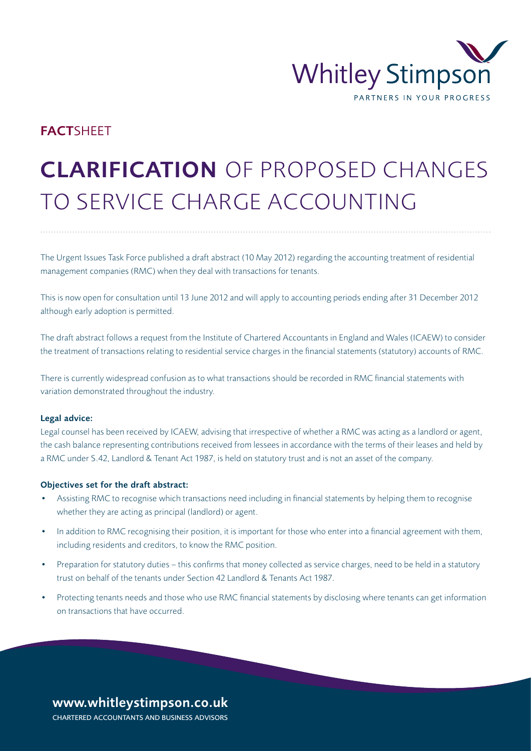

# **FACTSHEET**

# CLARIFICATION OF PROPOSED CHANGES TO SERVICE CHARGE ACCOUNTING

The Urgent Issues Task Force published a draft abstract (10 May 2012) regarding the accounting treatment of residential management companies (RMC) when they deal with transactions for tenants.

This is now open for consultation until 13 June 2012 and will apply to accounting periods ending after 31 December 2012 although early adoption is permitted.

The draft abstract follows a request from the Institute of Chartered Accountants in England and Wales (ICAEW) to consider the treatment of transactions relating to residential service charges in the financial statements (statutory) accounts of RMC.

There is currently widespread confusion as to what transactions should be recorded in RMC financial statements with variation demonstrated throughout the industry.

#### Legal advice:

Legal counsel has been received by ICAEW, advising that irrespective of whether a RMC was acting as a landlord or agent, the cash balance representing contributions received from lessees in accordance with the terms of their leases and held by a RMC under S.42, Landlord & Tenant Act 1987, is held on statutory trust and is not an asset of the company.

#### Objectives set for the draft abstract:

- Assisting RMC to recognise which transactions need including in financial statements by helping them to recognise whether they are acting as principal (landlord) or agent.
- In addition to RMC recognising their position, it is important for those who enter into a financial agreement with them, including residents and creditors, to know the RMC position.
- Preparation for statutory duties this confirms that money collected as service charges, need to be held in a statutory trust on behalf of the tenants under Section 42 Landlord & Tenants Act 1987.
- Protecting tenants needs and those who use RMC financial statements by disclosing where tenants can get information on transactions that have occurred.

## www.whitleystimpson.co.uk CHARTERED ACCOUNTANTS AND BUSINESS ADVISORS